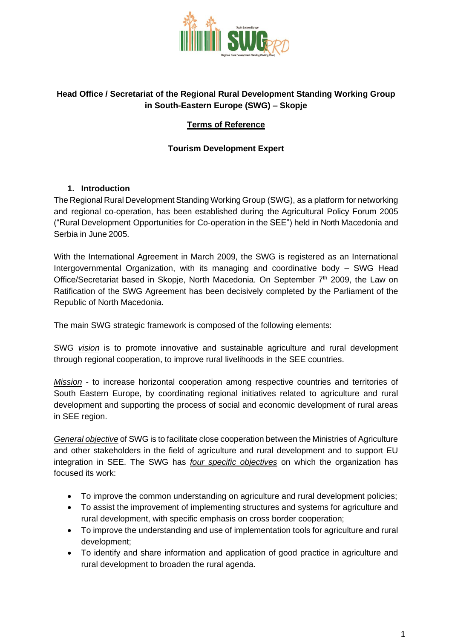

# **Head Office / Secretariat of the Regional Rural Development Standing Working Group in South-Eastern Europe (SWG) – Skopje**

# **Terms of Reference**

# **Tourism Development Expert**

## **1. Introduction**

The Regional Rural Development Standing Working Group (SWG), as a platform for networking and regional co-operation, has been established during the Agricultural Policy Forum 2005 ("Rural Development Opportunities for Co-operation in the SEE") held in North Macedonia and Serbia in June 2005.

With the International Agreement in March 2009, the SWG is registered as an International Intergovernmental Organization, with its managing and coordinative body – SWG Head Office/Secretariat based in Skopje, North Macedonia. On September  $7<sup>th</sup>$  2009, the Law on Ratification of the SWG Agreement has been decisively completed by the Parliament of the Republic of North Macedonia.

The main SWG strategic framework is composed of the following elements:

SWG *vision* is to promote innovative and sustainable agriculture and rural development through regional cooperation, to improve rural livelihoods in the SEE countries.

*Mission* - to increase horizontal cooperation among respective countries and territories of South Eastern Europe, by coordinating regional initiatives related to agriculture and rural development and supporting the process of social and economic development of rural areas in SEE region.

*General objective* of SWG is to facilitate close cooperation between the Ministries of Agriculture and other stakeholders in the field of agriculture and rural development and to support EU integration in SEE. The SWG has *four specific objectives* on which the organization has focused its work:

- To improve the common understanding on agriculture and rural development policies;
- To assist the improvement of implementing structures and systems for agriculture and rural development, with specific emphasis on cross border cooperation;
- To improve the understanding and use of implementation tools for agriculture and rural development;
- To identify and share information and application of good practice in agriculture and rural development to broaden the rural agenda.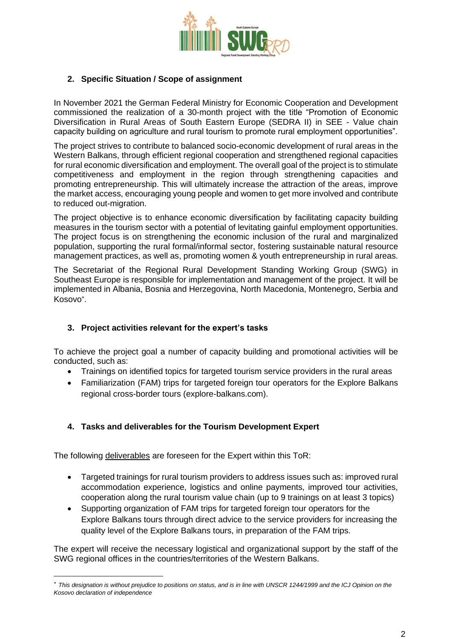

### **2. Specific Situation / Scope of assignment**

In November 2021 the German Federal Ministry for Economic Cooperation and Development commissioned the realization of a 30-month project with the title "Promotion of Economic Diversification in Rural Areas of South Eastern Europe (SEDRA II) in SEE - Value chain capacity building on agriculture and rural tourism to promote rural employment opportunities".

The project strives to contribute to balanced socio-economic development of rural areas in the Western Balkans, through efficient regional cooperation and strengthened regional capacities for rural economic diversification and employment. The overall goal of the project is to stimulate competitiveness and employment in the region through strengthening capacities and promoting entrepreneurship. This will ultimately increase the attraction of the areas, improve the market access, encouraging young people and women to get more involved and contribute to reduced out-migration.

The project objective is to enhance economic diversification by facilitating capacity building measures in the tourism sector with a potential of levitating gainful employment opportunities. The project focus is on strengthening the economic inclusion of the rural and marginalized population, supporting the rural formal/informal sector, fostering sustainable natural resource management practices, as well as, promoting women & youth entrepreneurship in rural areas.

The Secretariat of the Regional Rural Development Standing Working Group (SWG) in Southeast Europe is responsible for implementation and management of the project. It will be implemented in Albania, Bosnia and Herzegovina, North Macedonia, Montenegro, Serbia and Kosovo .

#### **3. Project activities relevant for the expert's tasks**

To achieve the project goal a number of capacity building and promotional activities will be conducted, such as:

- Trainings on identified topics for targeted tourism service providers in the rural areas
- Familiarization (FAM) trips for targeted foreign tour operators for the Explore Balkans regional cross-border tours (explore-balkans.com).

## **4. Tasks and deliverables for the Tourism Development Expert**

The following deliverables are foreseen for the Expert within this ToR:

- Targeted trainings for rural tourism providers to address issues such as: improved rural accommodation experience, logistics and online payments, improved tour activities, cooperation along the rural tourism value chain (up to 9 trainings on at least 3 topics)
- Supporting organization of FAM trips for targeted foreign tour operators for the Explore Balkans tours through direct advice to the service providers for increasing the quality level of the Explore Balkans tours, in preparation of the FAM trips.

The expert will receive the necessary logistical and organizational support by the staff of the SWG regional offices in the countries/territories of the Western Balkans.

*This designation is without prejudice to positions on status, and is in line with UNSCR 1244/1999 and the ICJ Opinion on the Kosovo declaration of independence*